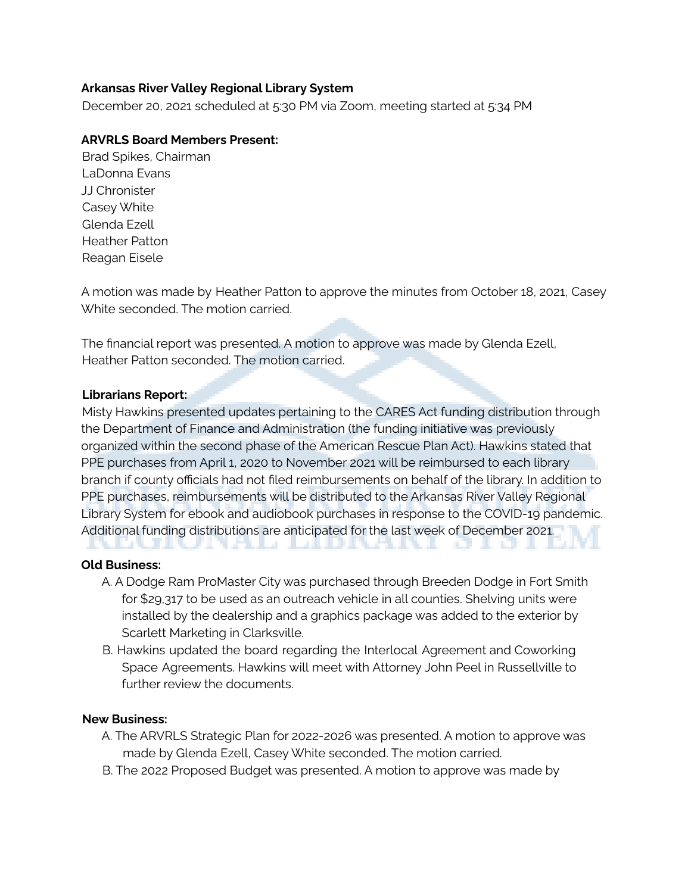# **Arkansas River Valley Regional Library System**

December 20, 2021 scheduled at 5:30 PM via Zoom, meeting started at 5:34 PM

# **ARVRLS Board Members Present:**

Brad Spikes, Chairman LaDonna Evans JJ Chronister Casey White Glenda Ezell Heather Patton Reagan Eisele

A motion was made by Heather Patton to approve the minutes from October 18, 2021, Casey White seconded. The motion carried.

The financial report was presented. A motion to approve was made by Glenda Ezell, Heather Patton seconded. The motion carried.

### **Librarians Report:**

Misty Hawkins presented updates pertaining to the CARES Act funding distribution through the Department of Finance and Administration (the funding initiative was previously organized within the second phase of the American Rescue Plan Act). Hawkins stated that PPE purchases from April 1, 2020 to November 2021 will be reimbursed to each library branch if county officials had not filed reimbursements on behalf of the library. In addition to PPE purchases, reimbursements will be distributed to the Arkansas River Valley Regional Library System for ebook and audiobook purchases in response to the COVID-19 pandemic. Additional funding distributions are anticipated for the last week of December 2021. . . . . . . . . . .

### **Old Business:**

- A. A Dodge Ram ProMaster City was purchased through Breeden Dodge in Fort Smith for \$29,317 to be used as an outreach vehicle in all counties. Shelving units were installed by the dealership and a graphics package was added to the exterior by Scarlett Marketing in Clarksville.
- B. Hawkins updated the board regarding the Interlocal Agreement and Coworking Space Agreements. Hawkins will meet with Attorney John Peel in Russellville to further review the documents.

### **New Business:**

- A. The ARVRLS Strategic Plan for 2022-2026 was presented. A motion to approve was made by Glenda Ezell, Casey White seconded. The motion carried.
- B. The 2022 Proposed Budget was presented. A motion to approve was made by